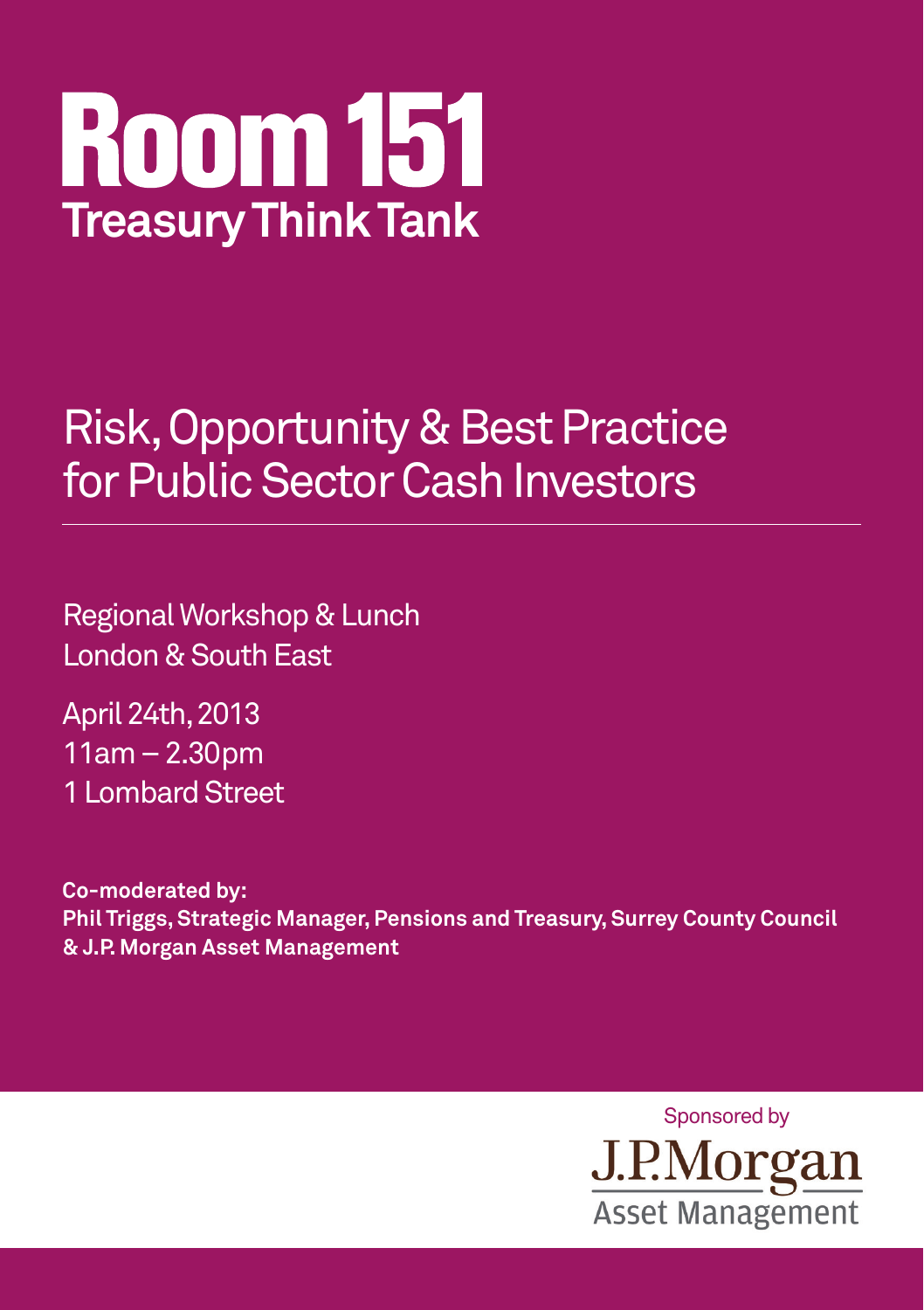

## Risk, Opportunity & Best Practice for Public Sector Cash Investors

Regional Workshop & Lunch London & South East

April 24th, 2013 11am – 2.30pm 1 Lombard Street

**Co-moderated by: Phil Triggs, Strategic Manager, Pensions and Treasury, Surrey County Council & J.P. Morgan Asset Management**